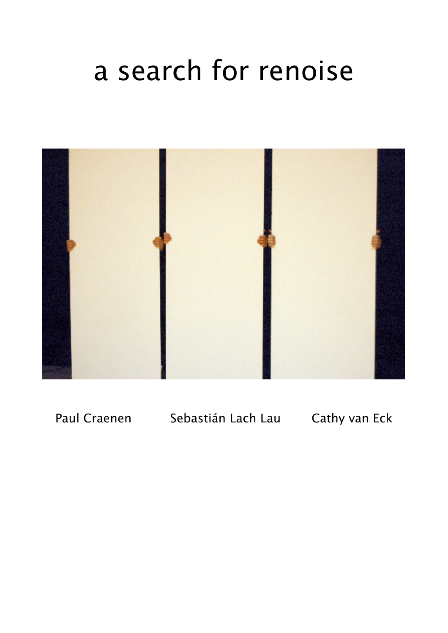## a search for renoise



Paul Craenen Sebastián Lach Lau Cathy van Eck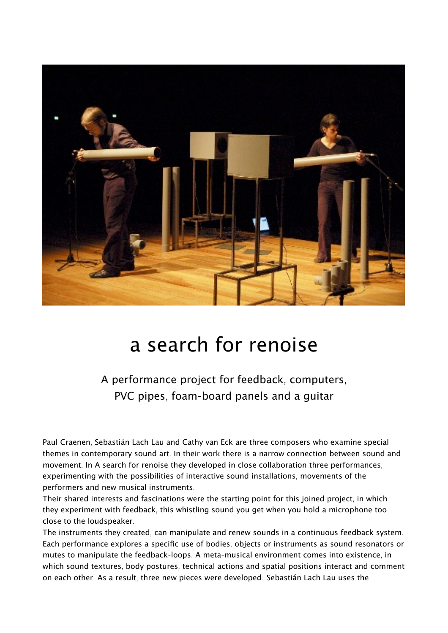

## a search for renoise

A performance project for feedback, computers, PVC pipes, foam-board panels and a guitar

Paul Craenen, Sebastián Lach Lau and Cathy van Eck are three composers who examine special themes in contemporary sound art. In their work there is a narrow connection between sound and movement. In A search for renoise they developed in close collaboration three performances, experimenting with the possibilities of interactive sound installations, movements of the performers and new musical instruments.

Their shared interests and fascinations were the starting point for this joined project, in which they experiment with feedback, this whistling sound you get when you hold a microphone too close to the loudspeaker.

The instruments they created, can manipulate and renew sounds in a continuous feedback system. Each performance explores a specific use of bodies, objects or instruments as sound resonators or mutes to manipulate the feedback-loops. A meta-musical environment comes into existence, in which sound textures, body postures, technical actions and spatial positions interact and comment on each other. As a result, three new pieces were developed: Sebastián Lach Lau uses the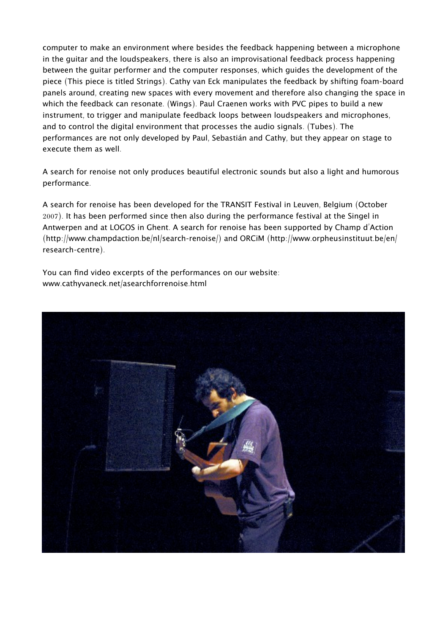computer to make an environment where besides the feedback happening between a microphone in the guitar and the loudspeakers, there is also an improvisational feedback process happening between the guitar performer and the computer responses, which guides the development of the piece (This piece is titled Strings). Cathy van Eck manipulates the feedback by shifting foam-board panels around, creating new spaces with every movement and therefore also changing the space in which the feedback can resonate. (Wings). Paul Craenen works with PVC pipes to build a new instrument, to trigger and manipulate feedback loops between loudspeakers and microphones, and to control the digital environment that processes the audio signals. (Tubes). The performances are not only developed by Paul, Sebastián and Cathy, but they appear on stage to execute them as well.

A search for renoise not only produces beautiful electronic sounds but also a light and humorous performance.

A search for renoise has been developed for the TRANSIT Festival in Leuven, Belgium (October 2007). It has been performed since then also during the performance festival at the Singel in Antwerpen and at LOGOS in Ghent. A search for renoise has been supported by Champ d'Action (http://www.champdaction.be/nl/search-renoise/) and ORCiM (http://www.orpheusinstituut.be/en/ research-centre).

You can find video excerpts of the performances on our website: www.cathyvaneck.net/asearchforrenoise.html

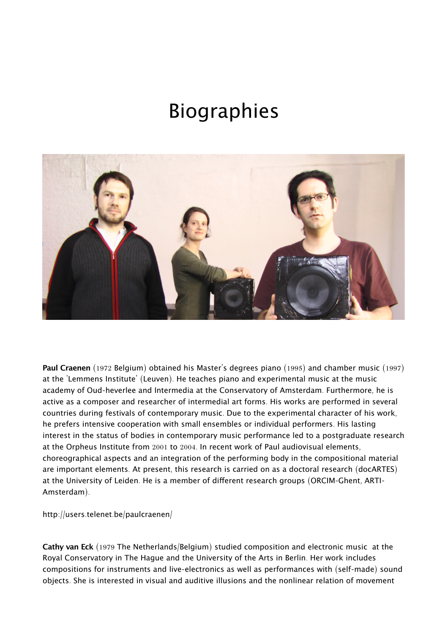## Biographies



**Paul Craenen** (1972 Belgium) obtained his Master's degrees piano (1995) and chamber music (1997) at the 'Lemmens Institute' (Leuven). He teaches piano and experimental music at the music academy of Oud-heverlee and Intermedia at the Conservatory of Amsterdam. Furthermore, he is active as a composer and researcher of intermedial art forms. His works are performed in several countries during festivals of contemporary music. Due to the experimental character of his work, he prefers intensive cooperation with small ensembles or individual performers. His lasting interest in the status of bodies in contemporary music performance led to a postgraduate research at the Orpheus Institute from 2001 to 2004. In recent work of Paul audiovisual elements, choreographical aspects and an integration of the performing body in the compositional material are important elements. At present, this research is carried on as a doctoral research (docARTES) at the University of Leiden. He is a member of different research groups (ORCIM-Ghent, ARTI-Amsterdam).

http://users.telenet.be/[paulcraenen](http://users.telenet.be/paulcraenen/)/

**Cathy van Eck** (1979 The Netherlands/Belgium) studied composition and electronic music at the Royal Conservatory in The Hague and the University of the Arts in Berlin. Her work includes compositions for instruments and live-electronics as well as performances with (self-made) sound objects. She is interested in visual and auditive illusions and the nonlinear relation of movement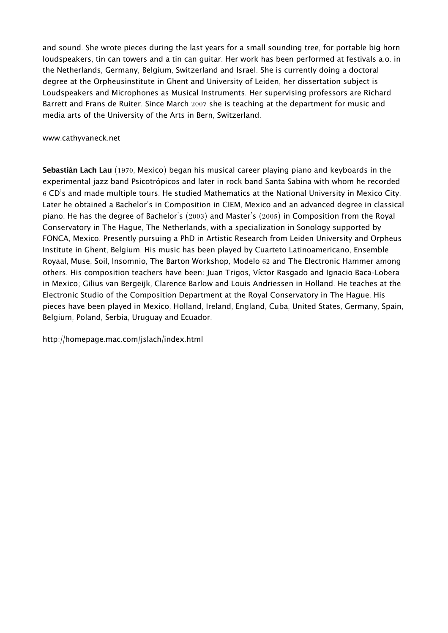and sound. She wrote pieces during the last years for a small sounding tree, for portable big horn loudspeakers, tin can towers and a tin can guitar. Her work has been performed at festivals a.o. in the Netherlands, Germany, Belgium, Switzerland and Israel. She is currently doing a doctoral degree at the Orpheusinstitute in Ghent and University of Leiden, her dissertation subject is Loudspeakers and Microphones as Musical Instruments. Her supervising professors are Richard Barrett and Frans de Ruiter. Since March 2007 she is teaching at the department for music and media arts of the University of the Arts in Bern, Switzerland.

www.[cathyvaneck](http://www.cathyvaneck.net).net

**Sebastián Lach Lau** (1970, Mexico) began his musical career playing piano and keyboards in the experimental jazz band Psicotrópicos and later in rock band Santa Sabina with whom he recorded 6 CD's and made multiple tours. He studied Mathematics at the National University in Mexico City. Later he obtained a Bachelor's in Composition in CIEM, Mexico and an advanced degree in classical piano. He has the degree of Bachelor's (2003) and Master's (2005) in Composition from the Royal Conservatory in The Hague, The Netherlands, with a specialization in Sonology supported by FONCA, Mexico. Presently pursuing a PhD in Artistic Research from Leiden University and Orpheus Institute in Ghent, Belgium. His music has been played by Cuarteto Latinoamericano, Ensemble Royaal, Muse, Soil, Insomnio, The Barton Workshop, Modelo 62 and The Electronic Hammer among others. His composition teachers have been: Juan Trigos, Víctor Rasgado and Ignacio Baca-Lobera in Mexico; Gilius van Bergeijk, Clarence Barlow and Louis Andriessen in Holland. He teaches at the Electronic Studio of the Composition Department at the Royal Conservatory in The Hague. His pieces have been played in Mexico, Holland, Ireland, England, Cuba, United States, Germany, Spain, Belgium, Poland, Serbia, Uruguay and Ecuador.

http[://](http://homepage.mac.com/jslach/index.html)[homepage](http://homepage.mac.com/jslach/index.html).mac.com/jslach/index.html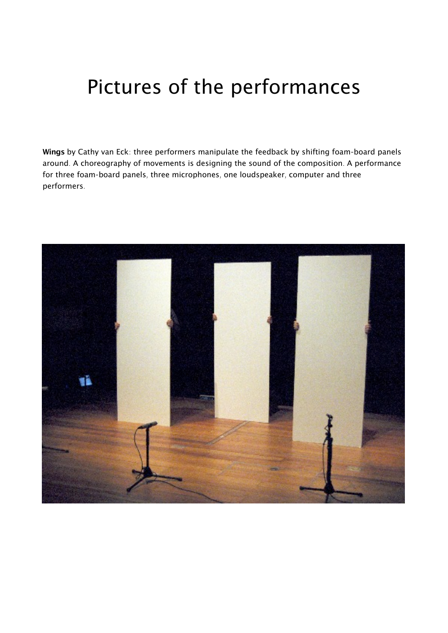## Pictures of the performances

**Wings** by Cathy van Eck: three performers manipulate the feedback by shifting foam-board panels around. A choreography of movements is designing the sound of the composition. A performance for three foam-board panels, three microphones, one loudspeaker, computer and three performers.

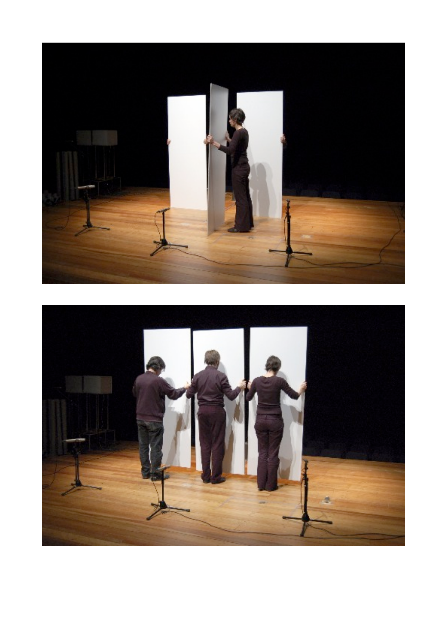

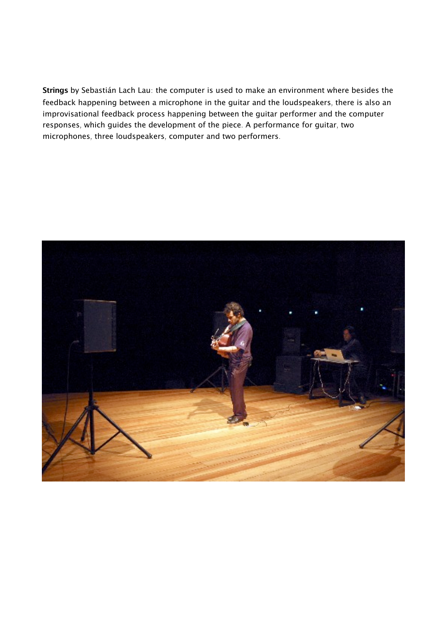**Strings** by Sebastián Lach Lau: the computer is used to make an environment where besides the feedback happening between a microphone in the guitar and the loudspeakers, there is also an improvisational feedback process happening between the guitar performer and the computer responses, which guides the development of the piece. A performance for guitar, two microphones, three loudspeakers, computer and two performers.

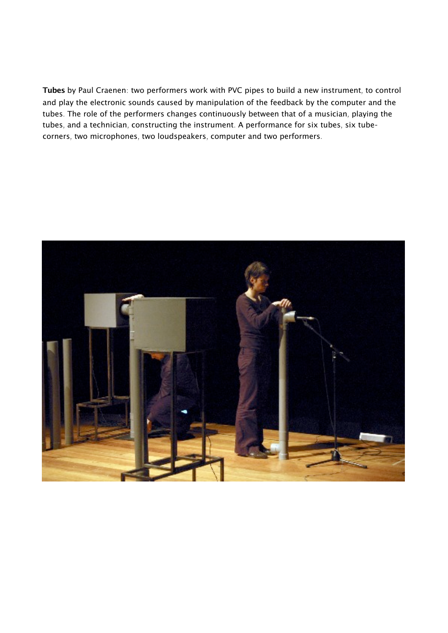**Tubes** by Paul Craenen: two performers work with PVC pipes to build a new instrument, to control and play the electronic sounds caused by manipulation of the feedback by the computer and the tubes. The role of the performers changes continuously between that of a musician, playing the tubes, and a technician, constructing the instrument. A performance for six tubes, six tubecorners, two microphones, two loudspeakers, computer and two performers.